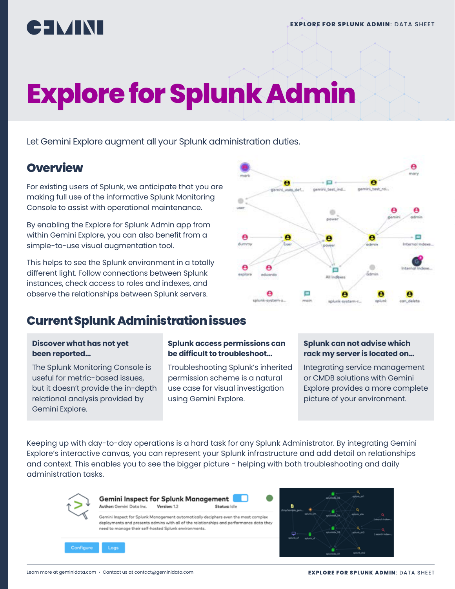

# **Explore for Splunk Admin**

Let Gemini Explore augment all your Splunk administration duties.

## **Overview**

For existing users of Splunk, we anticipate that you are making full use of the informative Splunk Monitoring Console to assist with operational maintenance.

By enabling the Explore for Splunk Admin app from within Gemini Explore, you can also benefit from a simple-to-use visual augmentation tool.

This helps to see the Splunk environment in a totally different light. Follow connections between Splunk instances, check access to roles and indexes, and observe the relationships between Splunk servers.



# **Current Splunk Administration issues**

#### **Discover what has not yet been reported…**

The Splunk Monitoring Console is useful for metric-based issues, but it doesn't provide the in-depth relational analysis provided by Gemini Explore.

#### **Splunk access permissions can be difficult to troubleshoot…**

Troubleshooting Splunk's inherited permission scheme is a natural use case for visual investigation using Gemini Explore.

#### **Splunk can not advise which rack my server is located on…**

Integrating service management or CMDB solutions with Gemini Explore provides a more complete picture of your environment.

Keeping up with day-to-day operations is a hard task for any Splunk Administrator. By integrating Gemini Explore's interactive canvas, you can represent your Splunk infrastructure and add detail on relationships and context. This enables you to see the bigger picture - helping with both troubleshooting and daily administration tasks.